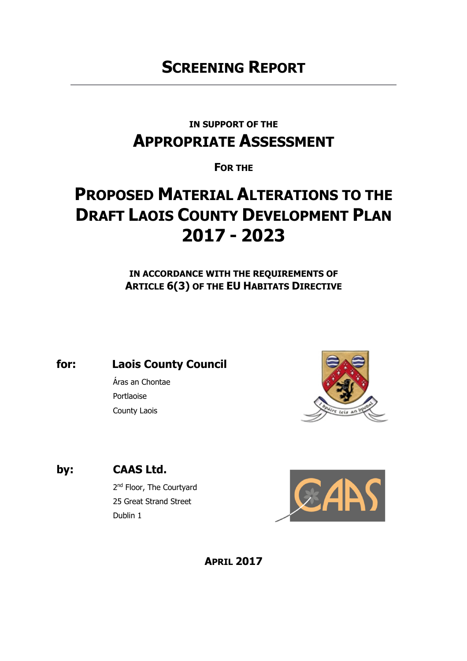# **SCREENING REPORT**

## **IN SUPPORT OF THE APPROPRIATE ASSESSMENT**

### **FOR THE**

# **PROPOSED MATERIAL ALTERATIONS TO THE DRAFT LAOIS COUNTY DEVELOPMENT PLAN 2017 - 2023**

**IN ACCORDANCE WITH THE REQUIREMENTS OF ARTICLE 6(3) OF THE EU HABITATS DIRECTIVE** 

**for: Laois County Council**

Áras an Chontae Portlaoise County Laois



**by: CAAS Ltd.**

2<sup>nd</sup> Floor, The Courtyard 25 Great Strand Street Dublin 1



**APRIL 2017**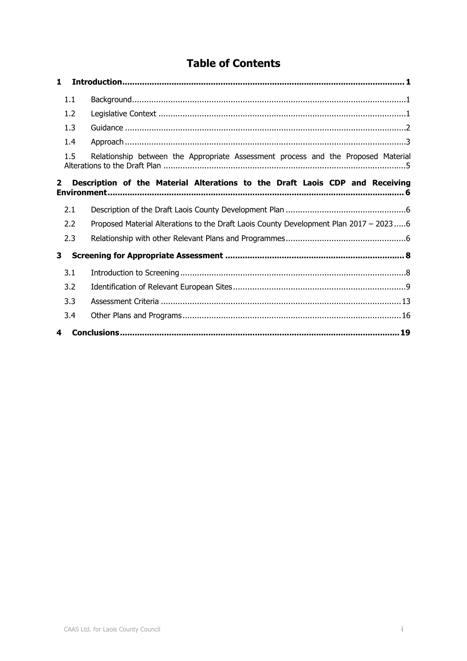### **Table of Contents**

| 1              |                                                                                       |
|----------------|---------------------------------------------------------------------------------------|
| 1.1            |                                                                                       |
| 1.2            |                                                                                       |
| 1.3            |                                                                                       |
| 1.4            |                                                                                       |
| 1.5            | Relationship between the Appropriate Assessment process and the Proposed Material     |
| $\overline{2}$ | Description of the Material Alterations to the Draft Laois CDP and Receiving          |
| 2.1            |                                                                                       |
| 2.2            | Proposed Material Alterations to the Draft Laois County Development Plan 2017 - 20236 |
| 2.3            |                                                                                       |
| 3              |                                                                                       |
| 3.1            |                                                                                       |
| 3.2            |                                                                                       |
| 3.3            |                                                                                       |
| 3.4            |                                                                                       |
| 4              |                                                                                       |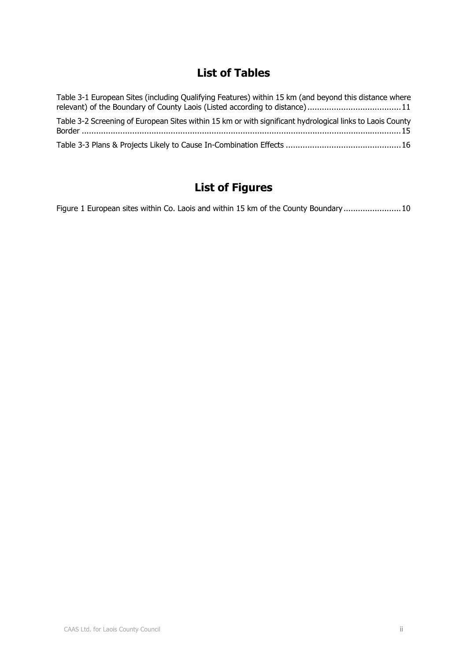### **List of Tables**

| Table 3-1 European Sites (including Qualifying Features) within 15 km (and beyond this distance where<br>relevant) of the Boundary of County Laois (Listed according to distance)11 |
|-------------------------------------------------------------------------------------------------------------------------------------------------------------------------------------|
| Table 3-2 Screening of European Sites within 15 km or with significant hydrological links to Laois County                                                                           |
|                                                                                                                                                                                     |

## **List of Figures**

Figure 1 European sites within Co. Laois and within 15 km of the County Boundary ........................ 10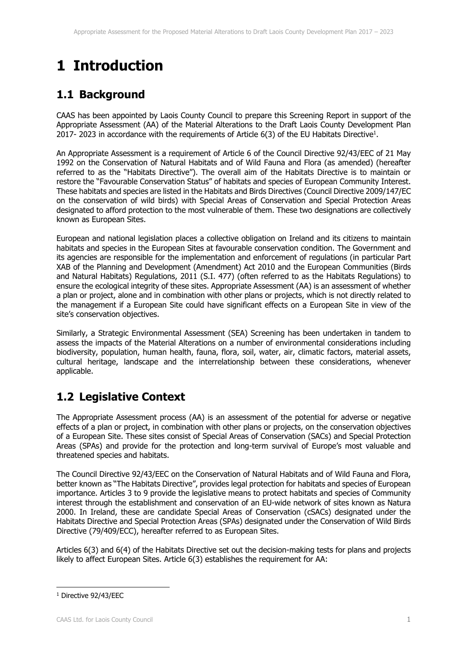# **1 Introduction**

### **1.1 Background**

CAAS has been appointed by Laois County Council to prepare this Screening Report in support of the Appropriate Assessment (AA) of the Material Alterations to the Draft Laois County Development Plan 2017- 2023 in accordance with the requirements of Article  $6(3)$  of the EU Habitats Directive<sup>1</sup>.

An Appropriate Assessment is a requirement of Article 6 of the Council Directive 92/43/EEC of 21 May 1992 on the Conservation of Natural Habitats and of Wild Fauna and Flora (as amended) (hereafter referred to as the "Habitats Directive"). The overall aim of the Habitats Directive is to maintain or restore the "Favourable Conservation Status" of habitats and species of European Community Interest. These habitats and species are listed in the Habitats and Birds Directives (Council Directive 2009/147/EC on the conservation of wild birds) with Special Areas of Conservation and Special Protection Areas designated to afford protection to the most vulnerable of them. These two designations are collectively known as European Sites.

European and national legislation places a collective obligation on Ireland and its citizens to maintain habitats and species in the European Sites at favourable conservation condition. The Government and its agencies are responsible for the implementation and enforcement of regulations (in particular Part XAB of the Planning and Development (Amendment) Act 2010 and the European Communities (Birds and Natural Habitats) Regulations, 2011 (S.I. 477) (often referred to as the Habitats Regulations) to ensure the ecological integrity of these sites. Appropriate Assessment (AA) is an assessment of whether a plan or project, alone and in combination with other plans or projects, which is not directly related to the management if a European Site could have significant effects on a European Site in view of the site's conservation objectives.

Similarly, a Strategic Environmental Assessment (SEA) Screening has been undertaken in tandem to assess the impacts of the Material Alterations on a number of environmental considerations including biodiversity, population, human health, fauna, flora, soil, water, air, climatic factors, material assets, cultural heritage, landscape and the interrelationship between these considerations, whenever applicable.

### **1.2 Legislative Context**

The Appropriate Assessment process (AA) is an assessment of the potential for adverse or negative effects of a plan or project, in combination with other plans or projects, on the conservation objectives of a European Site. These sites consist of Special Areas of Conservation (SACs) and Special Protection Areas (SPAs) and provide for the protection and long-term survival of Europe's most valuable and threatened species and habitats.

The Council Directive 92/43/EEC on the Conservation of Natural Habitats and of Wild Fauna and Flora, better known as "The Habitats Directive", provides legal protection for habitats and species of European importance. Articles 3 to 9 provide the legislative means to protect habitats and species of Community interest through the establishment and conservation of an EU-wide network of sites known as Natura 2000. In Ireland, these are candidate Special Areas of Conservation (cSACs) designated under the Habitats Directive and Special Protection Areas (SPAs) designated under the Conservation of Wild Birds Directive (79/409/ECC), hereafter referred to as European Sites.

Articles 6(3) and 6(4) of the Habitats Directive set out the decision-making tests for plans and projects likely to affect European Sites. Article 6(3) establishes the requirement for AA:

-

<sup>1</sup> Directive 92/43/EEC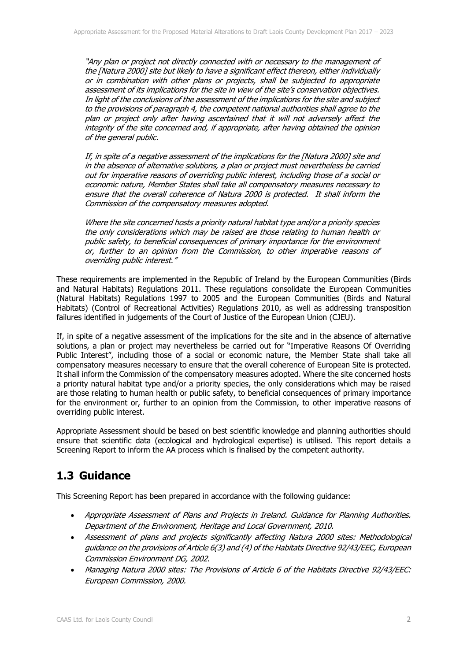"Any plan or project not directly connected with or necessary to the management of the [Natura 2000] site but likely to have a significant effect thereon, either individually or in combination with other plans or projects, shall be subjected to appropriate assessment of its implications for the site in view of the site's conservation objectives. In light of the conclusions of the assessment of the implications for the site and subject to the provisions of paragraph 4, the competent national authorities shall agree to the plan or project only after having ascertained that it will not adversely affect the integrity of the site concerned and, if appropriate, after having obtained the opinion of the general public.

If, in spite of a negative assessment of the implications for the [Natura 2000] site and in the absence of alternative solutions, a plan or project must nevertheless be carried out for imperative reasons of overriding public interest, including those of a social or economic nature, Member States shall take all compensatory measures necessary to ensure that the overall coherence of Natura 2000 is protected. It shall inform the Commission of the compensatory measures adopted.

Where the site concerned hosts a priority natural habitat type and/or a priority species the only considerations which may be raised are those relating to human health or public safety, to beneficial consequences of primary importance for the environment or, further to an opinion from the Commission, to other imperative reasons of overriding public interest."

These requirements are implemented in the Republic of Ireland by the European Communities (Birds and Natural Habitats) Regulations 2011. These regulations consolidate the European Communities (Natural Habitats) Regulations 1997 to 2005 and the European Communities (Birds and Natural Habitats) (Control of Recreational Activities) Regulations 2010, as well as addressing transposition failures identified in judgements of the Court of Justice of the European Union (CJEU).

If, in spite of a negative assessment of the implications for the site and in the absence of alternative solutions, a plan or project may nevertheless be carried out for "Imperative Reasons Of Overriding Public Interest", including those of a social or economic nature, the Member State shall take all compensatory measures necessary to ensure that the overall coherence of European Site is protected. It shall inform the Commission of the compensatory measures adopted. Where the site concerned hosts a priority natural habitat type and/or a priority species, the only considerations which may be raised are those relating to human health or public safety, to beneficial consequences of primary importance for the environment or, further to an opinion from the Commission, to other imperative reasons of overriding public interest.

Appropriate Assessment should be based on best scientific knowledge and planning authorities should ensure that scientific data (ecological and hydrological expertise) is utilised. This report details a Screening Report to inform the AA process which is finalised by the competent authority.

### **1.3 Guidance**

This Screening Report has been prepared in accordance with the following guidance:

- Appropriate Assessment of Plans and Projects in Ireland. Guidance for Planning Authorities. Department of the Environment, Heritage and Local Government, 2010.
- Assessment of plans and projects significantly affecting Natura 2000 sites: Methodological guidance on the provisions of Article 6(3) and (4) of the Habitats Directive 92/43/EEC, European Commission Environment DG, 2002.
- Managing Natura 2000 sites: The Provisions of Article 6 of the Habitats Directive 92/43/EEC: European Commission, 2000.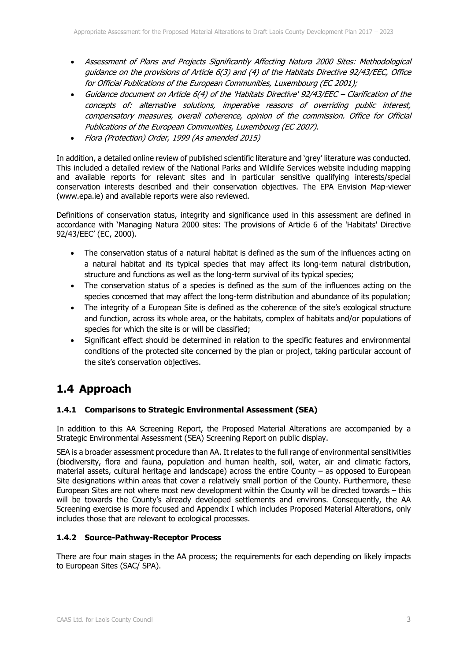- Assessment of Plans and Projects Significantly Affecting Natura 2000 Sites: Methodological guidance on the provisions of Article 6(3) and (4) of the Habitats Directive 92/43/EEC, Office for Official Publications of the European Communities, Luxembourg (EC 2001);
- Guidance document on Article 6(4) of the 'Habitats Directive' 92/43/EEC Clarification of the concepts of: alternative solutions, imperative reasons of overriding public interest, compensatory measures, overall coherence, opinion of the commission. Office for Official Publications of the European Communities, Luxembourg (EC 2007).
- Flora (Protection) Order, 1999 (As amended 2015)

In addition, a detailed online review of published scientific literature and 'grey' literature was conducted. This included a detailed review of the National Parks and Wildlife Services website including mapping and available reports for relevant sites and in particular sensitive qualifying interests/special conservation interests described and their conservation objectives. The EPA Envision Map-viewer (www.epa.ie) and available reports were also reviewed.

Definitions of conservation status, integrity and significance used in this assessment are defined in accordance with 'Managing Natura 2000 sites: The provisions of Article 6 of the 'Habitats' Directive 92/43/EEC' (EC, 2000).

- The conservation status of a natural habitat is defined as the sum of the influences acting on a natural habitat and its typical species that may affect its long-term natural distribution, structure and functions as well as the long-term survival of its typical species;
- The conservation status of a species is defined as the sum of the influences acting on the species concerned that may affect the long-term distribution and abundance of its population;
- The integrity of a European Site is defined as the coherence of the site's ecological structure and function, across its whole area, or the habitats, complex of habitats and/or populations of species for which the site is or will be classified;
- Significant effect should be determined in relation to the specific features and environmental conditions of the protected site concerned by the plan or project, taking particular account of the site's conservation objectives.

### **1.4 Approach**

### **1.4.1 Comparisons to Strategic Environmental Assessment (SEA)**

In addition to this AA Screening Report, the Proposed Material Alterations are accompanied by a Strategic Environmental Assessment (SEA) Screening Report on public display.

SEA is a broader assessment procedure than AA. It relates to the full range of environmental sensitivities (biodiversity, flora and fauna, population and human health, soil, water, air and climatic factors, material assets, cultural heritage and landscape) across the entire County – as opposed to European Site designations within areas that cover a relatively small portion of the County. Furthermore, these European Sites are not where most new development within the County will be directed towards – this will be towards the County's already developed settlements and environs. Consequently, the AA Screening exercise is more focused and Appendix I which includes Proposed Material Alterations, only includes those that are relevant to ecological processes.

### **1.4.2 Source-Pathway-Receptor Process**

There are four main stages in the AA process; the requirements for each depending on likely impacts to European Sites (SAC/ SPA).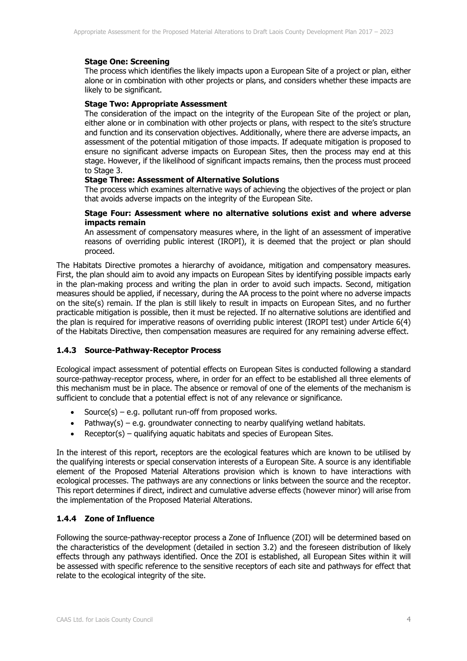#### **Stage One: Screening**

The process which identifies the likely impacts upon a European Site of a project or plan, either alone or in combination with other projects or plans, and considers whether these impacts are likely to be significant.

#### **Stage Two: Appropriate Assessment**

The consideration of the impact on the integrity of the European Site of the project or plan, either alone or in combination with other projects or plans, with respect to the site's structure and function and its conservation objectives. Additionally, where there are adverse impacts, an assessment of the potential mitigation of those impacts. If adequate mitigation is proposed to ensure no significant adverse impacts on European Sites, then the process may end at this stage. However, if the likelihood of significant impacts remains, then the process must proceed to Stage 3.

#### **Stage Three: Assessment of Alternative Solutions**

The process which examines alternative ways of achieving the objectives of the project or plan that avoids adverse impacts on the integrity of the European Site.

#### **Stage Four: Assessment where no alternative solutions exist and where adverse impacts remain**

An assessment of compensatory measures where, in the light of an assessment of imperative reasons of overriding public interest (IROPI), it is deemed that the project or plan should proceed.

The Habitats Directive promotes a hierarchy of avoidance, mitigation and compensatory measures. First, the plan should aim to avoid any impacts on European Sites by identifying possible impacts early in the plan-making process and writing the plan in order to avoid such impacts. Second, mitigation measures should be applied, if necessary, during the AA process to the point where no adverse impacts on the site(s) remain. If the plan is still likely to result in impacts on European Sites, and no further practicable mitigation is possible, then it must be rejected. If no alternative solutions are identified and the plan is required for imperative reasons of overriding public interest (IROPI test) under Article 6(4) of the Habitats Directive, then compensation measures are required for any remaining adverse effect.

### **1.4.3 Source-Pathway-Receptor Process**

Ecological impact assessment of potential effects on European Sites is conducted following a standard source-pathway-receptor process, where, in order for an effect to be established all three elements of this mechanism must be in place. The absence or removal of one of the elements of the mechanism is sufficient to conclude that a potential effect is not of any relevance or significance.

- Source(s) e.g. pollutant run-off from proposed works.
- Pathway(s) e.g. groundwater connecting to nearby qualifying wetland habitats.
- Receptor(s) qualifying aquatic habitats and species of European Sites.

In the interest of this report, receptors are the ecological features which are known to be utilised by the qualifying interests or special conservation interests of a European Site. A source is any identifiable element of the Proposed Material Alterations provision which is known to have interactions with ecological processes. The pathways are any connections or links between the source and the receptor. This report determines if direct, indirect and cumulative adverse effects (however minor) will arise from the implementation of the Proposed Material Alterations.

### **1.4.4 Zone of Influence**

Following the source-pathway-receptor process a Zone of Influence (ZOI) will be determined based on the characteristics of the development (detailed in section 3.2) and the foreseen distribution of likely effects through any pathways identified. Once the ZOI is established, all European Sites within it will be assessed with specific reference to the sensitive receptors of each site and pathways for effect that relate to the ecological integrity of the site.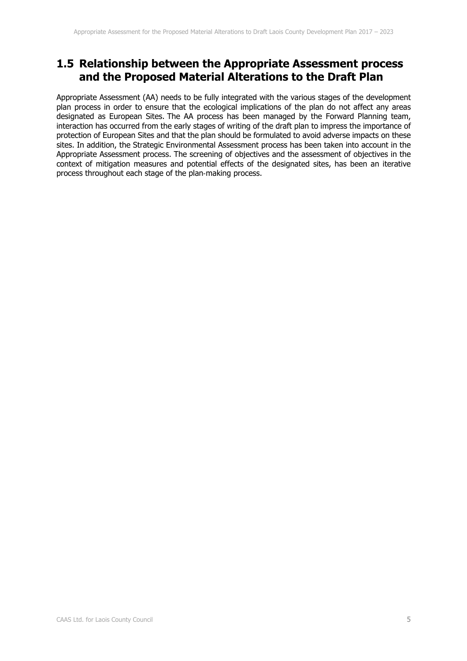### **1.5 Relationship between the Appropriate Assessment process and the Proposed Material Alterations to the Draft Plan**

Appropriate Assessment (AA) needs to be fully integrated with the various stages of the development plan process in order to ensure that the ecological implications of the plan do not affect any areas designated as European Sites. The AA process has been managed by the Forward Planning team, interaction has occurred from the early stages of writing of the draft plan to impress the importance of protection of European Sites and that the plan should be formulated to avoid adverse impacts on these sites. In addition, the Strategic Environmental Assessment process has been taken into account in the Appropriate Assessment process. The screening of objectives and the assessment of objectives in the context of mitigation measures and potential effects of the designated sites, has been an iterative process throughout each stage of the plan‐making process.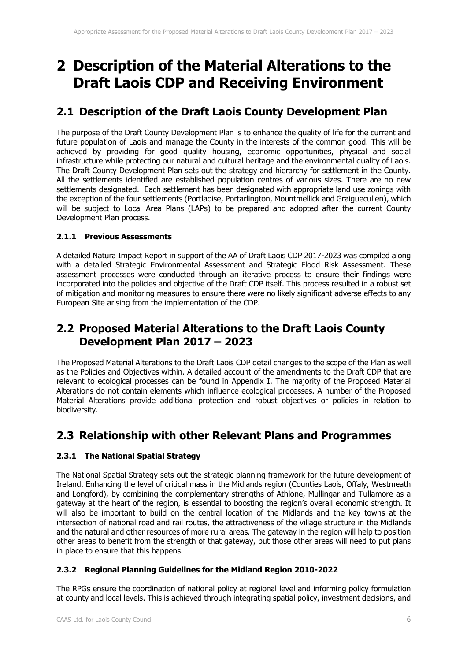## **2 Description of the Material Alterations to the Draft Laois CDP and Receiving Environment**

### **2.1 Description of the Draft Laois County Development Plan**

The purpose of the Draft County Development Plan is to enhance the quality of life for the current and future population of Laois and manage the County in the interests of the common good. This will be achieved by providing for good quality housing, economic opportunities, physical and social infrastructure while protecting our natural and cultural heritage and the environmental quality of Laois. The Draft County Development Plan sets out the strategy and hierarchy for settlement in the County. All the settlements identified are established population centres of various sizes. There are no new settlements designated. Each settlement has been designated with appropriate land use zonings with the exception of the four settlements (Portlaoise, Portarlington, Mountmellick and Graiguecullen), which will be subject to Local Area Plans (LAPs) to be prepared and adopted after the current County Development Plan process.

### **2.1.1 Previous Assessments**

A detailed Natura Impact Report in support of the AA of Draft Laois CDP 2017-2023 was compiled along with a detailed Strategic Environmental Assessment and Strategic Flood Risk Assessment. These assessment processes were conducted through an iterative process to ensure their findings were incorporated into the policies and objective of the Draft CDP itself. This process resulted in a robust set of mitigation and monitoring measures to ensure there were no likely significant adverse effects to any European Site arising from the implementation of the CDP.

### **2.2 Proposed Material Alterations to the Draft Laois County Development Plan 2017 – 2023**

The Proposed Material Alterations to the Draft Laois CDP detail changes to the scope of the Plan as well as the Policies and Objectives within. A detailed account of the amendments to the Draft CDP that are relevant to ecological processes can be found in Appendix I. The majority of the Proposed Material Alterations do not contain elements which influence ecological processes. A number of the Proposed Material Alterations provide additional protection and robust objectives or policies in relation to biodiversity.

### **2.3 Relationship with other Relevant Plans and Programmes**

### **2.3.1 The National Spatial Strategy**

The National Spatial Strategy sets out the strategic planning framework for the future development of Ireland. Enhancing the level of critical mass in the Midlands region (Counties Laois, Offaly, Westmeath and Longford), by combining the complementary strengths of Athlone, Mullingar and Tullamore as a gateway at the heart of the region, is essential to boosting the region's overall economic strength. It will also be important to build on the central location of the Midlands and the key towns at the intersection of national road and rail routes, the attractiveness of the village structure in the Midlands and the natural and other resources of more rural areas. The gateway in the region will help to position other areas to benefit from the strength of that gateway, but those other areas will need to put plans in place to ensure that this happens.

### **2.3.2 Regional Planning Guidelines for the Midland Region 2010-2022**

The RPGs ensure the coordination of national policy at regional level and informing policy formulation at county and local levels. This is achieved through integrating spatial policy, investment decisions, and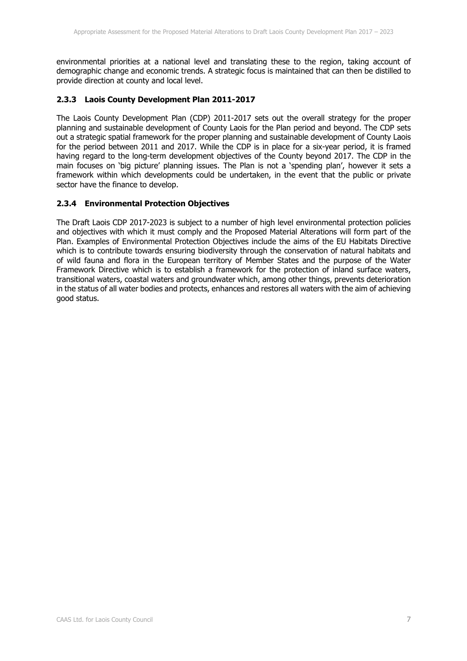environmental priorities at a national level and translating these to the region, taking account of demographic change and economic trends. A strategic focus is maintained that can then be distilled to provide direction at county and local level.

### **2.3.3 Laois County Development Plan 2011-2017**

The Laois County Development Plan (CDP) 2011-2017 sets out the overall strategy for the proper planning and sustainable development of County Laois for the Plan period and beyond. The CDP sets out a strategic spatial framework for the proper planning and sustainable development of County Laois for the period between 2011 and 2017. While the CDP is in place for a six-year period, it is framed having regard to the long-term development objectives of the County beyond 2017. The CDP in the main focuses on 'big picture' planning issues. The Plan is not a 'spending plan', however it sets a framework within which developments could be undertaken, in the event that the public or private sector have the finance to develop.

#### **2.3.4 Environmental Protection Objectives**

The Draft Laois CDP 2017-2023 is subject to a number of high level environmental protection policies and objectives with which it must comply and the Proposed Material Alterations will form part of the Plan. Examples of Environmental Protection Objectives include the aims of the EU Habitats Directive which is to contribute towards ensuring biodiversity through the conservation of natural habitats and of wild fauna and flora in the European territory of Member States and the purpose of the Water Framework Directive which is to establish a framework for the protection of inland surface waters, transitional waters, coastal waters and groundwater which, among other things, prevents deterioration in the status of all water bodies and protects, enhances and restores all waters with the aim of achieving good status.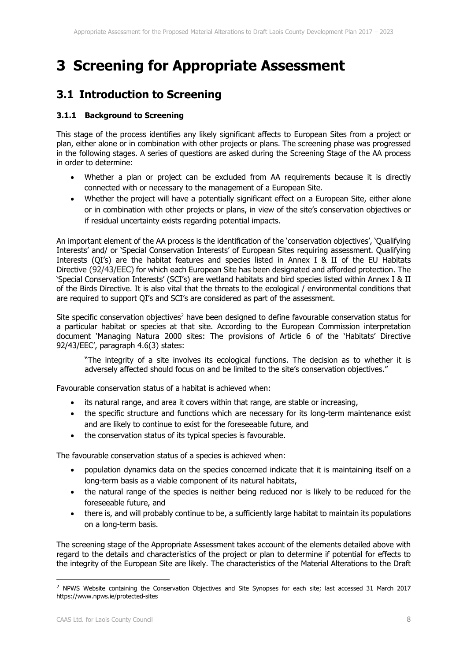## **3 Screening for Appropriate Assessment**

### **3.1 Introduction to Screening**

#### **3.1.1 Background to Screening**

This stage of the process identifies any likely significant affects to European Sites from a project or plan, either alone or in combination with other projects or plans. The screening phase was progressed in the following stages. A series of questions are asked during the Screening Stage of the AA process in order to determine:

- Whether a plan or project can be excluded from AA requirements because it is directly connected with or necessary to the management of a European Site.
- Whether the project will have a potentially significant effect on a European Site, either alone or in combination with other projects or plans, in view of the site's conservation objectives or if residual uncertainty exists regarding potential impacts.

An important element of the AA process is the identification of the 'conservation objectives', 'Qualifying Interests' and/ or 'Special Conservation Interests' of European Sites requiring assessment. Qualifying Interests (QI's) are the habitat features and species listed in Annex I & II of the EU Habitats Directive (92/43/EEC) for which each European Site has been designated and afforded protection. The 'Special Conservation Interests' (SCI's) are wetland habitats and bird species listed within Annex I & II of the Birds Directive. It is also vital that the threats to the ecological / environmental conditions that are required to support QI's and SCI's are considered as part of the assessment.

Site specific conservation objectives<sup>2</sup> have been designed to define favourable conservation status for a particular habitat or species at that site. According to the European Commission interpretation document 'Managing Natura 2000 sites: The provisions of Article 6 of the 'Habitats' Directive 92/43/EEC', paragraph 4.6(3) states:

"The integrity of a site involves its ecological functions. The decision as to whether it is adversely affected should focus on and be limited to the site's conservation objectives."

Favourable conservation status of a habitat is achieved when:

- its natural range, and area it covers within that range, are stable or increasing,
- the specific structure and functions which are necessary for its long-term maintenance exist and are likely to continue to exist for the foreseeable future, and
- the conservation status of its typical species is favourable.

The favourable conservation status of a species is achieved when:

- population dynamics data on the species concerned indicate that it is maintaining itself on a long-term basis as a viable component of its natural habitats,
- the natural range of the species is neither being reduced nor is likely to be reduced for the foreseeable future, and
- there is, and will probably continue to be, a sufficiently large habitat to maintain its populations on a long-term basis.

The screening stage of the Appropriate Assessment takes account of the elements detailed above with regard to the details and characteristics of the project or plan to determine if potential for effects to the integrity of the European Site are likely. The characteristics of the Material Alterations to the Draft

-

<sup>&</sup>lt;sup>2</sup> NPWS Website containing the Conservation Objectives and Site Synopses for each site; last accessed 31 March 2017 https://www.npws.ie/protected-sites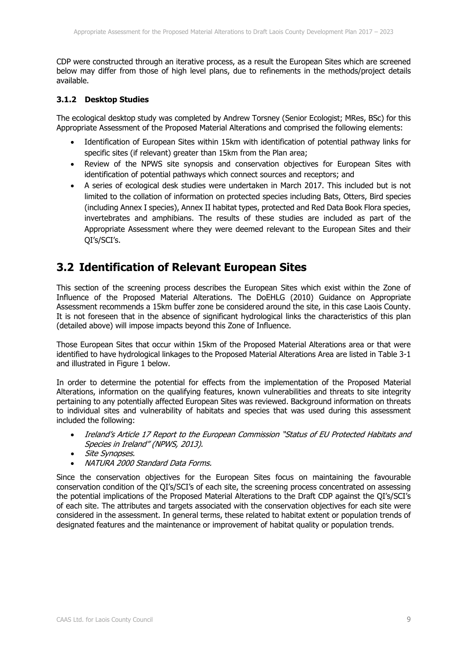CDP were constructed through an iterative process, as a result the European Sites which are screened below may differ from those of high level plans, due to refinements in the methods/project details available.

#### **3.1.2 Desktop Studies**

The ecological desktop study was completed by Andrew Torsney (Senior Ecologist; MRes, BSc) for this Appropriate Assessment of the Proposed Material Alterations and comprised the following elements:

- Identification of European Sites within 15km with identification of potential pathway links for specific sites (if relevant) greater than 15km from the Plan area;
- Review of the NPWS site synopsis and conservation objectives for European Sites with identification of potential pathways which connect sources and receptors; and
- A series of ecological desk studies were undertaken in March 2017. This included but is not limited to the collation of information on protected species including Bats, Otters, Bird species (including Annex I species), Annex II habitat types, protected and Red Data Book Flora species, invertebrates and amphibians. The results of these studies are included as part of the Appropriate Assessment where they were deemed relevant to the European Sites and their QI's/SCI's.

### **3.2 Identification of Relevant European Sites**

This section of the screening process describes the European Sites which exist within the Zone of Influence of the Proposed Material Alterations. The DoEHLG (2010) Guidance on Appropriate Assessment recommends a 15km buffer zone be considered around the site, in this case Laois County. It is not foreseen that in the absence of significant hydrological links the characteristics of this plan (detailed above) will impose impacts beyond this Zone of Influence.

Those European Sites that occur within 15km of the Proposed Material Alterations area or that were identified to have hydrological linkages to the Proposed Material Alterations Area are listed in Table 3-1 and illustrated in Figure 1 below.

In order to determine the potential for effects from the implementation of the Proposed Material Alterations, information on the qualifying features, known vulnerabilities and threats to site integrity pertaining to any potentially affected European Sites was reviewed. Background information on threats to individual sites and vulnerability of habitats and species that was used during this assessment included the following:

- Ireland's Article 17 Report to the European Commission "Status of EU Protected Habitats and Species in Ireland" (NPWS, 2013).
- Site Synopses.
- NATURA 2000 Standard Data Forms.

Since the conservation objectives for the European Sites focus on maintaining the favourable conservation condition of the QI's/SCI's of each site, the screening process concentrated on assessing the potential implications of the Proposed Material Alterations to the Draft CDP against the QI's/SCI's of each site. The attributes and targets associated with the conservation objectives for each site were considered in the assessment. In general terms, these related to habitat extent or population trends of designated features and the maintenance or improvement of habitat quality or population trends.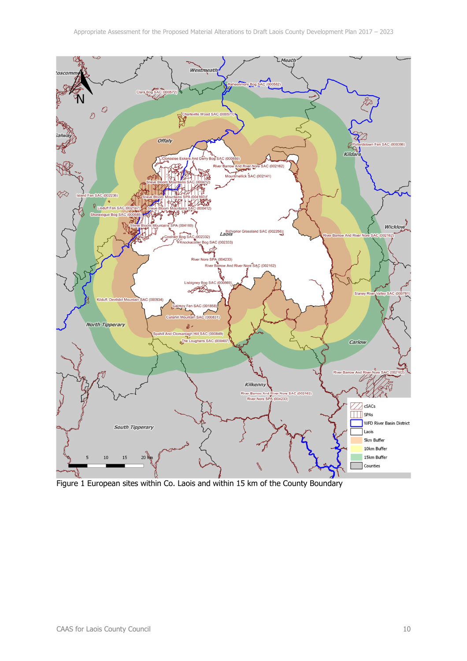

Figure 1 European sites within Co. Laois and within 15 km of the County Boundary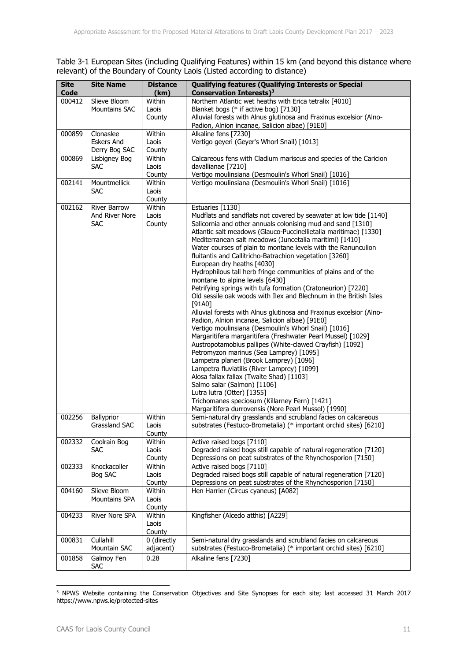Table 3-1 European Sites (including Qualifying Features) within 15 km (and beyond this distance where relevant) of the Boundary of County Laois (Listed according to distance)

| <b>Site</b><br><b>Code</b> | <b>Site Name</b>           | <b>Distance</b><br>(km) | <b>Qualifying features (Qualifying Interests or Special</b><br><b>Conservation Interests)<sup>3</sup></b> |
|----------------------------|----------------------------|-------------------------|-----------------------------------------------------------------------------------------------------------|
| 000412                     | Slieve Bloom               | Within                  | Northern Atlantic wet heaths with Erica tetralix [4010]                                                   |
|                            | <b>Mountains SAC</b>       | Laois                   | Blanket bogs (* if active bog) [7130]                                                                     |
|                            |                            | County                  | Alluvial forests with Alnus glutinosa and Fraxinus excelsior (Alno-                                       |
|                            |                            |                         | Padion, Alnion incanae, Salicion albae) [91E0]                                                            |
| 000859                     | Clonaslee                  | Within                  | Alkaline fens [7230]                                                                                      |
|                            | <b>Eskers And</b>          | Laois                   | Vertigo geyeri (Geyer's Whorl Snail) [1013]                                                               |
|                            | Derry Bog SAC              | County                  |                                                                                                           |
| 000869                     | Lisbigney Bog              | Within                  | Calcareous fens with Cladium mariscus and species of the Caricion                                         |
|                            | <b>SAC</b>                 | Laois                   | davallianae [7210]                                                                                        |
|                            |                            | County                  | Vertigo moulinsiana (Desmoulin's Whorl Snail) [1016]                                                      |
| 002141                     | Mountmellick               | Within                  | Vertigo moulinsiana (Desmoulin's Whorl Snail) [1016]                                                      |
|                            | <b>SAC</b>                 | Laois                   |                                                                                                           |
|                            |                            | County                  |                                                                                                           |
| 002162                     | <b>River Barrow</b>        | Within                  | Estuaries [1130]                                                                                          |
|                            | And River Nore             | Laois                   | Mudflats and sandflats not covered by seawater at low tide [1140]                                         |
|                            | <b>SAC</b>                 | County                  | Salicornia and other annuals colonising mud and sand [1310]                                               |
|                            |                            |                         | Atlantic salt meadows (Glauco-Puccinellietalia maritimae) [1330]                                          |
|                            |                            |                         | Mediterranean salt meadows (Juncetalia maritimi) [1410]                                                   |
|                            |                            |                         | Water courses of plain to montane levels with the Ranunculion                                             |
|                            |                            |                         | fluitantis and Callitricho-Batrachion vegetation [3260]                                                   |
|                            |                            |                         | European dry heaths [4030]                                                                                |
|                            |                            |                         | Hydrophilous tall herb fringe communities of plains and of the                                            |
|                            |                            |                         | montane to alpine levels [6430]                                                                           |
|                            |                            |                         | Petrifying springs with tufa formation (Cratoneurion) [7220]                                              |
|                            |                            |                         | Old sessile oak woods with Ilex and Blechnum in the British Isles                                         |
|                            |                            |                         | $[91A0]$                                                                                                  |
|                            |                            |                         | Alluvial forests with Alnus glutinosa and Fraxinus excelsior (Alno-                                       |
|                            |                            |                         | Padion, Alnion incanae, Salicion albae) [91E0]                                                            |
|                            |                            |                         | Vertigo moulinsiana (Desmoulin's Whorl Snail) [1016]                                                      |
|                            |                            |                         | Margaritifera margaritifera (Freshwater Pearl Mussel) [1029]                                              |
|                            |                            |                         | Austropotamobius pallipes (White-clawed Crayfish) [1092]                                                  |
|                            |                            |                         | Petromyzon marinus (Sea Lamprey) [1095]                                                                   |
|                            |                            |                         | Lampetra planeri (Brook Lamprey) [1096]                                                                   |
|                            |                            |                         | Lampetra fluviatilis (River Lamprey) [1099]                                                               |
|                            |                            |                         | Alosa fallax fallax (Twaite Shad) [1103]                                                                  |
|                            |                            |                         | Salmo salar (Salmon) [1106]                                                                               |
|                            |                            |                         | Lutra lutra (Otter) [1355]                                                                                |
|                            |                            |                         | Trichomanes speciosum (Killarney Fern) [1421]                                                             |
|                            |                            |                         | Margaritifera durrovensis (Nore Pearl Mussel) [1990]                                                      |
| 002256                     | Ballyprior                 | Within                  | Semi-natural dry grasslands and scrubland facies on calcareous                                            |
|                            | Grassland SAC              | Laois                   | substrates (Festuco-Brometalia) (* important orchid sites) [6210]                                         |
|                            |                            | County                  |                                                                                                           |
| 002332                     | Coolrain Bog<br><b>SAC</b> | Within                  | Active raised bogs [7110]<br>Degraded raised bogs still capable of natural regeneration [7120]            |
|                            |                            | Laois                   |                                                                                                           |
| 002333                     | Knockacoller               | County<br>Within        | Depressions on peat substrates of the Rhynchosporion [7150]<br>Active raised bogs [7110]                  |
|                            | Bog SAC                    | Laois                   | Degraded raised bogs still capable of natural regeneration [7120]                                         |
|                            |                            |                         | Depressions on peat substrates of the Rhynchosporion [7150]                                               |
|                            | Slieve Bloom               | County                  |                                                                                                           |
| 004160                     | Mountains SPA              | Within<br>Laois         | Hen Harrier (Circus cyaneus) [A082]                                                                       |
|                            |                            | County                  |                                                                                                           |
| 004233                     | River Nore SPA             | Within                  | Kingfisher (Alcedo atthis) [A229]                                                                         |
|                            |                            | Laois                   |                                                                                                           |
|                            |                            | County                  |                                                                                                           |
| 000831                     | Cullahill                  | 0 (directly             | Semi-natural dry grasslands and scrubland facies on calcareous                                            |
|                            | Mountain SAC               | adjacent)               | substrates (Festuco-Brometalia) (* important orchid sites) [6210]                                         |
|                            |                            |                         |                                                                                                           |
| 001858                     | Galmoy Fen<br><b>SAC</b>   | 0.28                    | Alkaline fens [7230]                                                                                      |

<sup>-</sup><sup>3</sup> NPWS Website containing the Conservation Objectives and Site Synopses for each site; last accessed 31 March 2017 https://www.npws.ie/protected-sites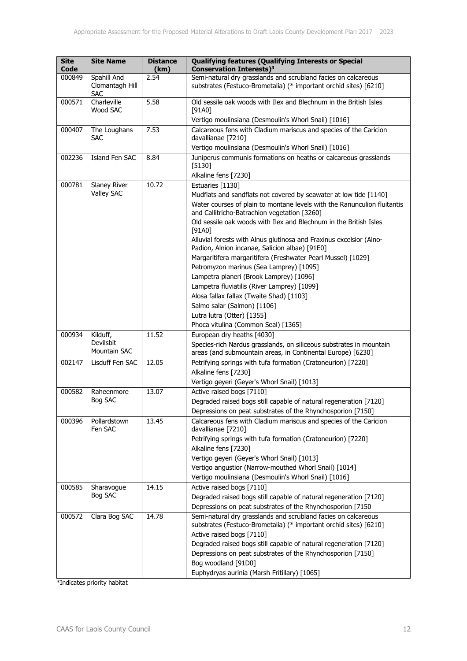| <b>Site</b><br>Code | <b>Site Name</b>                             | <b>Distance</b><br>(km) | <b>Qualifying features (Qualifying Interests or Special</b><br>Conservation Interests) <sup>3</sup>                                 |
|---------------------|----------------------------------------------|-------------------------|-------------------------------------------------------------------------------------------------------------------------------------|
| 000849              | Spahill And<br>Clomantagh Hill<br><b>SAC</b> | 2.54                    | Semi-natural dry grasslands and scrubland facies on calcareous<br>substrates (Festuco-Brometalia) (* important orchid sites) [6210] |
| 000571              | Charleville<br>Wood SAC                      | 5.58                    | Old sessile oak woods with Ilex and Blechnum in the British Isles<br>$[91A0]$                                                       |
| 000407              | The Loughans                                 | 7.53                    | Vertigo moulinsiana (Desmoulin's Whorl Snail) [1016]<br>Calcareous fens with Cladium mariscus and species of the Caricion           |
|                     | <b>SAC</b>                                   |                         | davallianae [7210]                                                                                                                  |
|                     |                                              |                         | Vertigo moulinsiana (Desmoulin's Whorl Snail) [1016]                                                                                |
| 002236              | Island Fen SAC                               | 8.84                    | Juniperus communis formations on heaths or calcareous grasslands<br>$[5130]$                                                        |
|                     |                                              |                         | Alkaline fens [7230]                                                                                                                |
| 000781              | Slaney River                                 | 10.72                   | Estuaries [1130]                                                                                                                    |
|                     | Valley SAC                                   |                         | Mudflats and sandflats not covered by seawater at low tide [1140]                                                                   |
|                     |                                              |                         | Water courses of plain to montane levels with the Ranunculion fluitantis<br>and Callitricho-Batrachion vegetation [3260]            |
|                     |                                              |                         | Old sessile oak woods with Ilex and Blechnum in the British Isles<br>[91A0]                                                         |
|                     |                                              |                         | Alluvial forests with Alnus glutinosa and Fraxinus excelsior (Alno-<br>Padion, Alnion incanae, Salicion albae) [91E0]               |
|                     |                                              |                         | Margaritifera margaritifera (Freshwater Pearl Mussel) [1029]                                                                        |
|                     |                                              |                         | Petromyzon marinus (Sea Lamprey) [1095]                                                                                             |
|                     |                                              |                         | Lampetra planeri (Brook Lamprey) [1096]                                                                                             |
|                     |                                              |                         | Lampetra fluviatilis (River Lamprey) [1099]                                                                                         |
|                     |                                              |                         | Alosa fallax fallax (Twaite Shad) [1103]                                                                                            |
|                     |                                              |                         | Salmo salar (Salmon) [1106]                                                                                                         |
|                     |                                              |                         | Lutra lutra (Otter) [1355]                                                                                                          |
|                     |                                              |                         | Phoca vitulina (Common Seal) [1365]                                                                                                 |
| 000934              | Kilduff,                                     | 11.52                   | European dry heaths [4030]                                                                                                          |
|                     | Devilsbit                                    |                         | Species-rich Nardus grasslands, on siliceous substrates in mountain                                                                 |
|                     | Mountain SAC                                 |                         | areas (and submountain areas, in Continental Europe) [6230]                                                                         |
| 002147              | Lisduff Fen SAC                              | 12.05                   | Petrifying springs with tufa formation (Cratoneurion) [7220]                                                                        |
|                     |                                              |                         | Alkaline fens [7230]                                                                                                                |
|                     |                                              | 13.07                   | Vertigo geyeri (Geyer's Whorl Snail) [1013]<br>Active raised bogs [7110]                                                            |
| 000582              | Raheenmore<br>Bog SAC                        |                         | Degraded raised bogs still capable of natural regeneration [7120]                                                                   |
|                     |                                              |                         | Depressions on peat substrates of the Rhynchosporion [7150]                                                                         |
| 000396              | Pollardstown                                 | 13.45                   | Calcareous fens with Cladium mariscus and species of the Caricion                                                                   |
|                     | Fen SAC                                      |                         | davallianae [7210]                                                                                                                  |
|                     |                                              |                         | Petrifying springs with tufa formation (Cratoneurion) [7220]                                                                        |
|                     |                                              |                         | Alkaline fens [7230]                                                                                                                |
|                     |                                              |                         | Vertigo geyeri (Geyer's Whorl Snail) [1013]                                                                                         |
|                     |                                              |                         | Vertigo angustior (Narrow-mouthed Whorl Snail) [1014]                                                                               |
|                     |                                              |                         | Vertigo moulinsiana (Desmoulin's Whorl Snail) [1016]                                                                                |
| 000585              | Sharavogue                                   | 14.15                   | Active raised bogs [7110]                                                                                                           |
|                     | Bog SAC                                      |                         | Degraded raised bogs still capable of natural regeneration [7120]                                                                   |
|                     |                                              |                         | Depressions on peat substrates of the Rhynchosporion [7150                                                                          |
| 000572              | Clara Bog SAC                                | 14.78                   | Semi-natural dry grasslands and scrubland facies on calcareous<br>substrates (Festuco-Brometalia) (* important orchid sites) [6210] |
|                     |                                              |                         | Active raised bogs [7110]                                                                                                           |
|                     |                                              |                         | Degraded raised bogs still capable of natural regeneration [7120]                                                                   |
|                     |                                              |                         | Depressions on peat substrates of the Rhynchosporion [7150]                                                                         |
|                     |                                              |                         | Bog woodland [91D0]                                                                                                                 |
|                     |                                              |                         | Euphydryas aurinia (Marsh Fritillary) [1065]                                                                                        |

\*Indicates priority habitat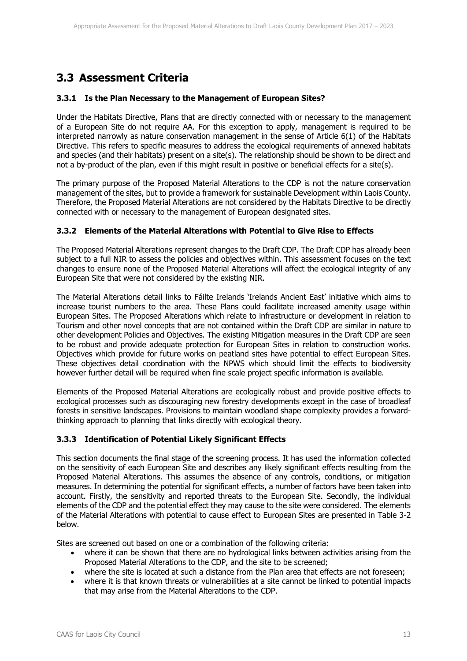### **3.3 Assessment Criteria**

#### **3.3.1 Is the Plan Necessary to the Management of European Sites?**

Under the Habitats Directive, Plans that are directly connected with or necessary to the management of a European Site do not require AA. For this exception to apply, management is required to be interpreted narrowly as nature conservation management in the sense of Article 6(1) of the Habitats Directive. This refers to specific measures to address the ecological requirements of annexed habitats and species (and their habitats) present on a site(s). The relationship should be shown to be direct and not a by-product of the plan, even if this might result in positive or beneficial effects for a site(s).

The primary purpose of the Proposed Material Alterations to the CDP is not the nature conservation management of the sites, but to provide a framework for sustainable Development within Laois County. Therefore, the Proposed Material Alterations are not considered by the Habitats Directive to be directly connected with or necessary to the management of European designated sites.

#### **3.3.2 Elements of the Material Alterations with Potential to Give Rise to Effects**

The Proposed Material Alterations represent changes to the Draft CDP. The Draft CDP has already been subject to a full NIR to assess the policies and objectives within. This assessment focuses on the text changes to ensure none of the Proposed Material Alterations will affect the ecological integrity of any European Site that were not considered by the existing NIR.

The Material Alterations detail links to Fáilte Irelands 'Irelands Ancient East' initiative which aims to increase tourist numbers to the area. These Plans could facilitate increased amenity usage within European Sites. The Proposed Alterations which relate to infrastructure or development in relation to Tourism and other novel concepts that are not contained within the Draft CDP are similar in nature to other development Policies and Objectives. The existing Mitigation measures in the Draft CDP are seen to be robust and provide adequate protection for European Sites in relation to construction works. Objectives which provide for future works on peatland sites have potential to effect European Sites. These objectives detail coordination with the NPWS which should limit the effects to biodiversity however further detail will be required when fine scale project specific information is available.

Elements of the Proposed Material Alterations are ecologically robust and provide positive effects to ecological processes such as discouraging new forestry developments except in the case of broadleaf forests in sensitive landscapes. Provisions to maintain woodland shape complexity provides a forwardthinking approach to planning that links directly with ecological theory.

### **3.3.3 Identification of Potential Likely Significant Effects**

This section documents the final stage of the screening process. It has used the information collected on the sensitivity of each European Site and describes any likely significant effects resulting from the Proposed Material Alterations. This assumes the absence of any controls, conditions, or mitigation measures. In determining the potential for significant effects, a number of factors have been taken into account. Firstly, the sensitivity and reported threats to the European Site. Secondly, the individual elements of the CDP and the potential effect they may cause to the site were considered. The elements of the Material Alterations with potential to cause effect to European Sites are presented in Table 3-2 below.

Sites are screened out based on one or a combination of the following criteria:

- where it can be shown that there are no hydrological links between activities arising from the Proposed Material Alterations to the CDP, and the site to be screened;
- where the site is located at such a distance from the Plan area that effects are not foreseen;
- where it is that known threats or vulnerabilities at a site cannot be linked to potential impacts that may arise from the Material Alterations to the CDP.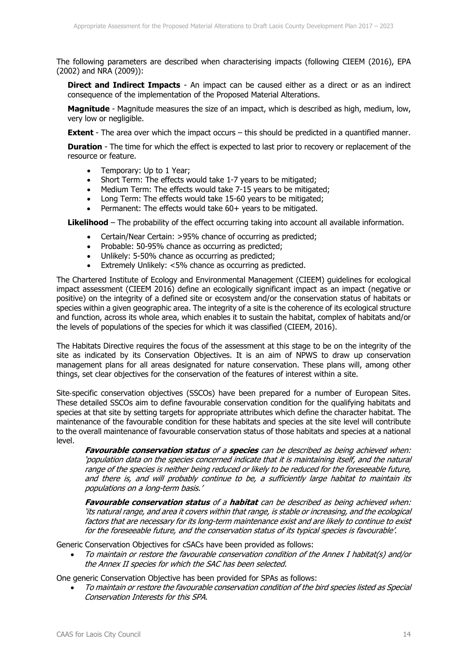The following parameters are described when characterising impacts (following CIEEM (2016), EPA (2002) and NRA (2009)):

**Direct and Indirect Impacts** - An impact can be caused either as a direct or as an indirect consequence of the implementation of the Proposed Material Alterations.

**Magnitude** - Magnitude measures the size of an impact, which is described as high, medium, low, very low or negligible.

**Extent** - The area over which the impact occurs – this should be predicted in a quantified manner.

**Duration** - The time for which the effect is expected to last prior to recovery or replacement of the resource or feature.

- Temporary: Up to 1 Year;
- Short Term: The effects would take 1-7 years to be mitigated;
- Medium Term: The effects would take 7-15 years to be mitigated:
- Long Term: The effects would take 15-60 years to be mitigated;
- Permanent: The effects would take 60+ years to be mitigated.

**Likelihood** – The probability of the effect occurring taking into account all available information.

- Certain/Near Certain: >95% chance of occurring as predicted;
- Probable: 50-95% chance as occurring as predicted;
- Unlikely: 5-50% chance as occurring as predicted;
- Extremely Unlikely: <5% chance as occurring as predicted.

The Chartered Institute of Ecology and Environmental Management (CIEEM) guidelines for ecological impact assessment (CIEEM 2016) define an ecologically significant impact as an impact (negative or positive) on the integrity of a defined site or ecosystem and/or the conservation status of habitats or species within a given geographic area. The integrity of a site is the coherence of its ecological structure and function, across its whole area, which enables it to sustain the habitat, complex of habitats and/or the levels of populations of the species for which it was classified (CIEEM, 2016).

The Habitats Directive requires the focus of the assessment at this stage to be on the integrity of the site as indicated by its Conservation Objectives. It is an aim of NPWS to draw up conservation management plans for all areas designated for nature conservation. These plans will, among other things, set clear objectives for the conservation of the features of interest within a site.

Site-specific conservation objectives (SSCOs) have been prepared for a number of European Sites. These detailed SSCOs aim to define favourable conservation condition for the qualifying habitats and species at that site by setting targets for appropriate attributes which define the character habitat. The maintenance of the favourable condition for these habitats and species at the site level will contribute to the overall maintenance of favourable conservation status of those habitats and species at a national level.

**Favourable conservation status** of a **species** can be described as being achieved when: 'population data on the species concerned indicate that it is maintaining itself, and the natural range of the species is neither being reduced or likely to be reduced for the foreseeable future, and there is, and will probably continue to be, a sufficiently large habitat to maintain its populations on a long-term basis.'

**Favourable conservation status** of a **habitat** can be described as being achieved when: 'its natural range, and area it covers within that range, is stable or increasing, and the ecological factors that are necessary for its long-term maintenance exist and are likely to continue to exist for the foreseeable future, and the conservation status of its typical species is favourable'.

Generic Conservation Objectives for cSACs have been provided as follows:

 To maintain or restore the favourable conservation condition of the Annex I habitat(s) and/or the Annex II species for which the SAC has been selected.

One generic Conservation Objective has been provided for SPAs as follows:

 To maintain or restore the favourable conservation condition of the bird species listed as Special Conservation Interests for this SPA.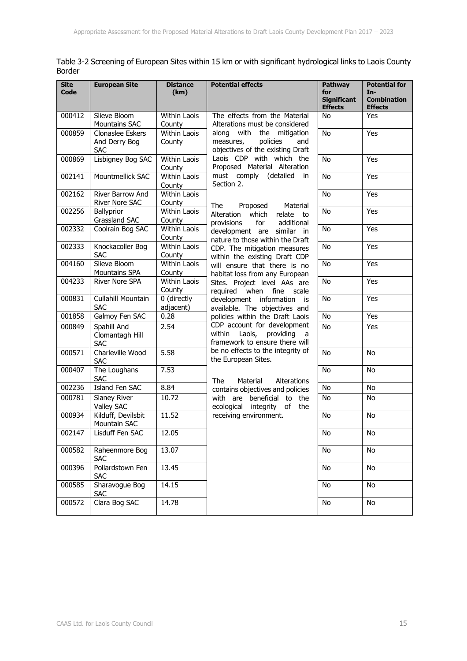| Table 3-2 Screening of European Sites within 15 km or with significant hydrological links to Laois County |  |  |
|-----------------------------------------------------------------------------------------------------------|--|--|
| Border                                                                                                    |  |  |

| <b>Site</b><br>Code | <b>European Site</b>                            | <b>Distance</b><br>(km)       | <b>Potential effects</b>                                                                         | Pathway<br>for<br><b>Significant</b><br><b>Effects</b> | <b>Potential for</b><br>In-<br><b>Combination</b><br><b>Effects</b> |
|---------------------|-------------------------------------------------|-------------------------------|--------------------------------------------------------------------------------------------------|--------------------------------------------------------|---------------------------------------------------------------------|
| 000412              | Slieve Bloom<br><b>Mountains SAC</b>            | Within Laois<br>County        | The effects from the Material<br>Alterations must be considered                                  | No                                                     | Yes                                                                 |
| 000859              | Clonaslee Eskers<br>And Derry Bog<br><b>SAC</b> | <b>Within Laois</b><br>County | along with<br>the mitigation<br>policies<br>measures,<br>and<br>objectives of the existing Draft | No                                                     | Yes                                                                 |
| 000869              | Lisbigney Bog SAC                               | Within Laois<br>County        | Laois CDP with which the<br>Proposed Material Alteration                                         | <b>No</b>                                              | Yes                                                                 |
| 002141              | Mountmellick SAC                                | <b>Within Laois</b><br>County | must comply (detailed<br>in<br>Section 2.                                                        | <b>No</b>                                              | Yes                                                                 |
| 002162              | River Barrow And<br>River Nore SAC              | Within Laois<br>County        | The<br>Proposed<br>Material                                                                      | No                                                     | Yes                                                                 |
| 002256              | Ballyprior<br>Grassland SAC                     | Within Laois<br>County        | Alteration which<br>relate to<br>for<br>provisions<br>additional                                 | No                                                     | Yes                                                                 |
| 002332              | Coolrain Bog SAC                                | Within Laois<br>County        | development are similar in<br>nature to those within the Draft                                   | <b>No</b>                                              | Yes                                                                 |
| 002333              | Knockacoller Bog<br><b>SAC</b>                  | <b>Within Laois</b><br>County | CDP. The mitigation measures<br>within the existing Draft CDP                                    | <b>No</b>                                              | Yes                                                                 |
| 004160              | Slieve Bloom<br><b>Mountains SPA</b>            | <b>Within Laois</b><br>County | will ensure that there is no<br>habitat loss from any European                                   | No                                                     | Yes                                                                 |
| 004233              | River Nore SPA                                  | Within Laois<br>County        | Sites. Project level AAs are<br>required when fine<br>scale                                      | <b>No</b>                                              | Yes                                                                 |
| 000831              | Cullahill Mountain<br><b>SAC</b>                | 0 (directly<br>adjacent)      | development information is<br>available. The objectives and                                      | No                                                     | Yes                                                                 |
| 001858              | Galmoy Fen SAC                                  | 0.28                          | policies within the Draft Laois                                                                  | No                                                     | Yes                                                                 |
| 000849              | Spahill And<br>Clomantagh Hill<br><b>SAC</b>    | 2.54                          | CDP account for development<br>within Laois,<br>providing<br>a<br>framework to ensure there will | <b>No</b>                                              | Yes                                                                 |
| 000571              | Charleville Wood<br><b>SAC</b>                  | 5.58                          | be no effects to the integrity of<br>the European Sites.                                         | <b>No</b>                                              | <b>No</b>                                                           |
| 000407              | The Loughans<br><b>SAC</b>                      | 7.53                          | The<br>Material<br>Alterations                                                                   | <b>No</b>                                              | No                                                                  |
| 002236              | Island Fen SAC                                  | 8.84                          | contains objectives and policies                                                                 | No                                                     | No                                                                  |
| 000781              | Slaney River<br>Valley SAC                      | 10.72                         | with are beneficial to the<br>ecological integrity of<br>the                                     | No                                                     | No                                                                  |
| 000934              | Kilduff, Devilsbit<br>Mountain SAC              | 11.52                         | receiving environment.                                                                           | No                                                     | No                                                                  |
| 002147              | Lisduff Fen SAC                                 | 12.05                         |                                                                                                  | N <sub>o</sub>                                         | $\overline{N}$                                                      |
| 000582              | Raheenmore Bog<br><b>SAC</b>                    | 13.07                         |                                                                                                  | No                                                     | No                                                                  |
| 000396              | Pollardstown Fen<br><b>SAC</b>                  | 13.45                         |                                                                                                  | No                                                     | No                                                                  |
| 000585              | Sharavogue Bog<br><b>SAC</b>                    | 14.15                         |                                                                                                  | No                                                     | No                                                                  |
| 000572              | Clara Bog SAC                                   | 14.78                         |                                                                                                  | No                                                     | No                                                                  |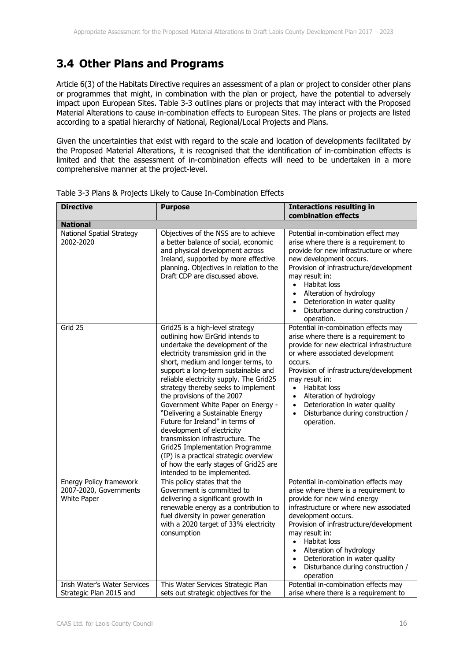### **3.4 Other Plans and Programs**

Article 6(3) of the Habitats Directive requires an assessment of a plan or project to consider other plans or programmes that might, in combination with the plan or project, have the potential to adversely impact upon European Sites. Table 3-3 outlines plans or projects that may interact with the Proposed Material Alterations to cause in-combination effects to European Sites. The plans or projects are listed according to a spatial hierarchy of National, Regional/Local Projects and Plans.

Given the uncertainties that exist with regard to the scale and location of developments facilitated by the Proposed Material Alterations, it is recognised that the identification of in-combination effects is limited and that the assessment of in-combination effects will need to be undertaken in a more comprehensive manner at the project-level.

| <b>Directive</b>                                                        | <b>Purpose</b>                                                                                                                                                                                                                                                                                                                                                                                                                                                                                                                                                                                                                                                                   | <b>Interactions resulting in</b><br>combination effects                                                                                                                                                                                                                                                                                                                                                                       |
|-------------------------------------------------------------------------|----------------------------------------------------------------------------------------------------------------------------------------------------------------------------------------------------------------------------------------------------------------------------------------------------------------------------------------------------------------------------------------------------------------------------------------------------------------------------------------------------------------------------------------------------------------------------------------------------------------------------------------------------------------------------------|-------------------------------------------------------------------------------------------------------------------------------------------------------------------------------------------------------------------------------------------------------------------------------------------------------------------------------------------------------------------------------------------------------------------------------|
| <b>National</b>                                                         |                                                                                                                                                                                                                                                                                                                                                                                                                                                                                                                                                                                                                                                                                  |                                                                                                                                                                                                                                                                                                                                                                                                                               |
| <b>National Spatial Strategy</b><br>2002-2020                           | Objectives of the NSS are to achieve<br>a better balance of social, economic<br>and physical development across<br>Ireland, supported by more effective<br>planning. Objectives in relation to the<br>Draft CDP are discussed above.                                                                                                                                                                                                                                                                                                                                                                                                                                             | Potential in-combination effect may<br>arise where there is a requirement to<br>provide for new infrastructure or where<br>new development occurs.<br>Provision of infrastructure/development<br>may result in:<br>Habitat loss<br>$\bullet$<br>Alteration of hydrology<br>$\bullet$<br>Deterioration in water quality<br>$\bullet$<br>Disturbance during construction /<br>$\bullet$<br>operation.                           |
| Grid 25                                                                 | Grid25 is a high-level strategy<br>outlining how EirGrid intends to<br>undertake the development of the<br>electricity transmission grid in the<br>short, medium and longer terms, to<br>support a long-term sustainable and<br>reliable electricity supply. The Grid25<br>strategy thereby seeks to implement<br>the provisions of the 2007<br>Government White Paper on Energy -<br>"Delivering a Sustainable Energy<br>Future for Ireland" in terms of<br>development of electricity<br>transmission infrastructure. The<br>Grid25 Implementation Programme<br>(IP) is a practical strategic overview<br>of how the early stages of Grid25 are<br>intended to be implemented. | Potential in-combination effects may<br>arise where there is a requirement to<br>provide for new electrical infrastructure<br>or where associated development<br>occurs.<br>Provision of infrastructure/development<br>may result in:<br>Habitat loss<br>$\bullet$<br>Alteration of hydrology<br>$\bullet$<br>Deterioration in water quality<br>$\bullet$<br>Disturbance during construction /<br>$\bullet$<br>operation.     |
| Energy Policy framework<br>2007-2020, Governments<br><b>White Paper</b> | This policy states that the<br>Government is committed to<br>delivering a significant growth in<br>renewable energy as a contribution to<br>fuel diversity in power generation<br>with a 2020 target of 33% electricity<br>consumption                                                                                                                                                                                                                                                                                                                                                                                                                                           | Potential in-combination effects may<br>arise where there is a requirement to<br>provide for new wind energy<br>infrastructure or where new associated<br>development occurs.<br>Provision of infrastructure/development<br>may result in:<br>Habitat loss<br>$\bullet$<br>Alteration of hydrology<br>$\bullet$<br>Deterioration in water quality<br>$\bullet$<br>Disturbance during construction /<br>$\bullet$<br>operation |
| Irish Water's Water Services<br>Strategic Plan 2015 and                 | This Water Services Strategic Plan<br>sets out strategic objectives for the                                                                                                                                                                                                                                                                                                                                                                                                                                                                                                                                                                                                      | Potential in-combination effects may<br>arise where there is a requirement to                                                                                                                                                                                                                                                                                                                                                 |

| Table 3-3 Plans & Projects Likely to Cause In-Combination Effects |  |  |  |  |
|-------------------------------------------------------------------|--|--|--|--|
|-------------------------------------------------------------------|--|--|--|--|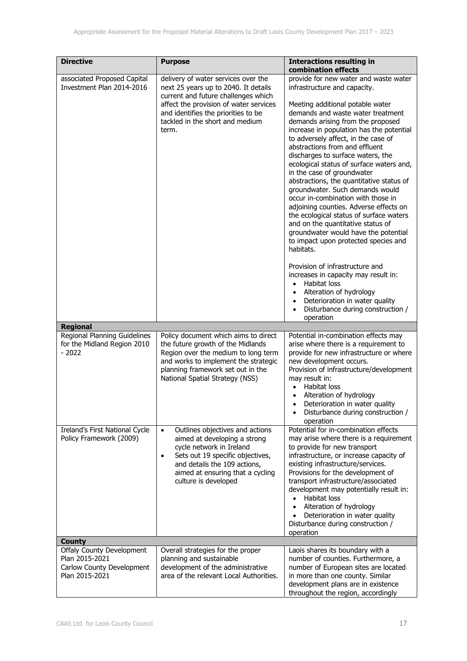| <b>Directive</b>                                                                                  | <b>Purpose</b>                                                                                                                                                                                                                                        | <b>Interactions resulting in</b><br>combination effects                                                                                                                                                                                                                                                                                                                                                                                                                                                                                                                                                                                                                                                                                                             |
|---------------------------------------------------------------------------------------------------|-------------------------------------------------------------------------------------------------------------------------------------------------------------------------------------------------------------------------------------------------------|---------------------------------------------------------------------------------------------------------------------------------------------------------------------------------------------------------------------------------------------------------------------------------------------------------------------------------------------------------------------------------------------------------------------------------------------------------------------------------------------------------------------------------------------------------------------------------------------------------------------------------------------------------------------------------------------------------------------------------------------------------------------|
| associated Proposed Capital<br>Investment Plan 2014-2016                                          | delivery of water services over the<br>next 25 years up to 2040. It details<br>current and future challenges which<br>affect the provision of water services<br>and identifies the priorities to be<br>tackled in the short and medium<br>term.       | provide for new water and waste water<br>infrastructure and capacity.<br>Meeting additional potable water<br>demands and waste water treatment<br>demands arising from the proposed<br>increase in population has the potential<br>to adversely affect, in the case of<br>abstractions from and effluent<br>discharges to surface waters, the<br>ecological status of surface waters and,<br>in the case of groundwater<br>abstractions, the quantitative status of<br>groundwater. Such demands would<br>occur in-combination with those in<br>adjoining counties. Adverse effects on<br>the ecological status of surface waters<br>and on the quantitative status of<br>groundwater would have the potential<br>to impact upon protected species and<br>habitats. |
|                                                                                                   |                                                                                                                                                                                                                                                       | Provision of infrastructure and<br>increases in capacity may result in:<br>Habitat loss<br>$\bullet$<br>Alteration of hydrology<br>$\bullet$<br>Deterioration in water quality<br>$\bullet$<br>Disturbance during construction /<br>operation                                                                                                                                                                                                                                                                                                                                                                                                                                                                                                                       |
| <b>Regional</b>                                                                                   |                                                                                                                                                                                                                                                       |                                                                                                                                                                                                                                                                                                                                                                                                                                                                                                                                                                                                                                                                                                                                                                     |
| Regional Planning Guidelines<br>for the Midland Region 2010<br>$-2022$                            | Policy document which aims to direct<br>the future growth of the Midlands<br>Region over the medium to long term<br>and works to implement the strategic<br>planning framework set out in the<br>National Spatial Strategy (NSS)                      | Potential in-combination effects may<br>arise where there is a requirement to<br>provide for new infrastructure or where<br>new development occurs.<br>Provision of infrastructure/development<br>may result in:<br>Habitat loss<br>$\bullet$<br>Alteration of hydrology<br>$\bullet$<br>Deterioration in water quality<br>Disturbance during construction /<br>operation                                                                                                                                                                                                                                                                                                                                                                                           |
| Ireland's First National Cycle<br>Policy Framework (2009)                                         | Outlines objectives and actions<br>$\bullet$<br>aimed at developing a strong<br>cycle network in Ireland<br>Sets out 19 specific objectives,<br>$\bullet$<br>and details the 109 actions,<br>aimed at ensuring that a cycling<br>culture is developed | Potential for in-combination effects<br>may arise where there is a requirement<br>to provide for new transport<br>infrastructure, or increase capacity of<br>existing infrastructure/services.<br>Provisions for the development of<br>transport infrastructure/associated<br>development may potentially result in:<br>Habitat loss<br>Alteration of hydrology<br>Deterioration in water quality<br>Disturbance during construction /<br>operation                                                                                                                                                                                                                                                                                                                 |
| <b>County</b>                                                                                     |                                                                                                                                                                                                                                                       |                                                                                                                                                                                                                                                                                                                                                                                                                                                                                                                                                                                                                                                                                                                                                                     |
| <b>Offaly County Development</b><br>Plan 2015-2021<br>Carlow County Development<br>Plan 2015-2021 | Overall strategies for the proper<br>planning and sustainable<br>development of the administrative<br>area of the relevant Local Authorities.                                                                                                         | Laois shares its boundary with a<br>number of counties. Furthermore, a<br>number of European sites are located<br>in more than one county. Similar<br>development plans are in existence<br>throughout the region, accordingly                                                                                                                                                                                                                                                                                                                                                                                                                                                                                                                                      |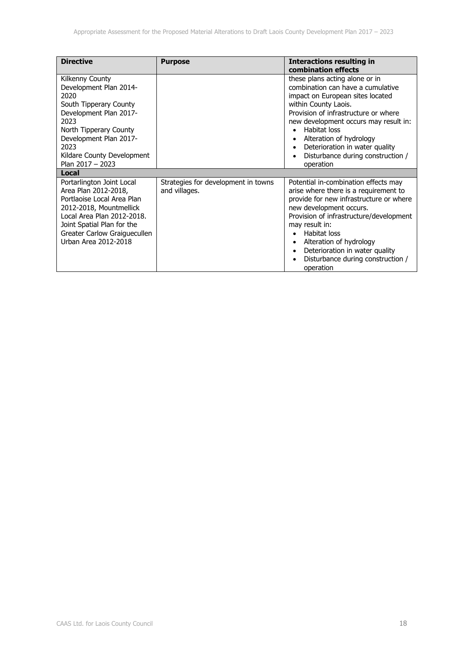| <b>Directive</b>                                                                                                                                                                                                               | <b>Purpose</b>                                       | <b>Interactions resulting in</b><br>combination effects                                                                                                                                                                                                                                                                                                      |
|--------------------------------------------------------------------------------------------------------------------------------------------------------------------------------------------------------------------------------|------------------------------------------------------|--------------------------------------------------------------------------------------------------------------------------------------------------------------------------------------------------------------------------------------------------------------------------------------------------------------------------------------------------------------|
| Kilkenny County<br>Development Plan 2014-<br>2020<br>South Tipperary County<br>Development Plan 2017-<br>2023<br>North Tipperary County<br>Development Plan 2017-<br>2023<br>Kildare County Development<br>Plan $2017 - 2023$  |                                                      | these plans acting alone or in<br>combination can have a cumulative<br>impact on European sites located<br>within County Laois.<br>Provision of infrastructure or where<br>new development occurs may result in:<br>Habitat loss<br>$\bullet$<br>Alteration of hydrology<br>Deterioration in water quality<br>Disturbance during construction /<br>operation |
| Local                                                                                                                                                                                                                          |                                                      |                                                                                                                                                                                                                                                                                                                                                              |
| Portarlington Joint Local<br>Area Plan 2012-2018,<br>Portlaoise Local Area Plan<br>2012-2018, Mountmellick<br>Local Area Plan 2012-2018.<br>Joint Spatial Plan for the<br>Greater Carlow Graiguecullen<br>Urban Area 2012-2018 | Strategies for development in towns<br>and villages. | Potential in-combination effects may<br>arise where there is a requirement to<br>provide for new infrastructure or where<br>new development occurs.<br>Provision of infrastructure/development<br>may result in:<br>Habitat loss<br>Alteration of hydrology<br>$\bullet$<br>Deterioration in water quality<br>Disturbance during construction /<br>operation |